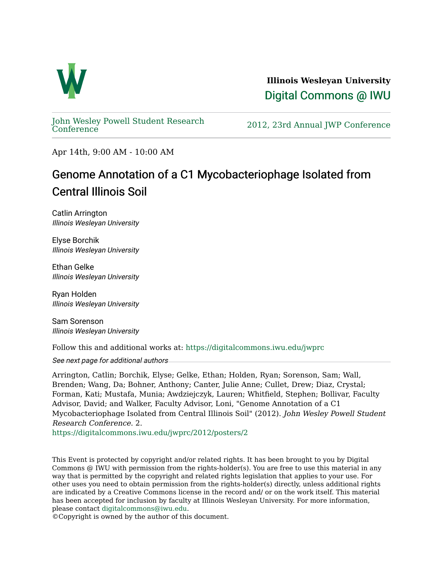

**Illinois Wesleyan University**  [Digital Commons @ IWU](https://digitalcommons.iwu.edu/) 

[John Wesley Powell Student Research](https://digitalcommons.iwu.edu/jwprc) 

2012, 23rd Annual JWP [Conference](https://digitalcommons.iwu.edu/jwprc)

Apr 14th, 9:00 AM - 10:00 AM

## Genome Annotation of a C1 Mycobacteriophage Isolated from Central Illinois Soil

Catlin Arrington Illinois Wesleyan University

Elyse Borchik Illinois Wesleyan University

Ethan Gelke Illinois Wesleyan University

Ryan Holden Illinois Wesleyan University

Sam Sorenson Illinois Wesleyan University

Follow this and additional works at: [https://digitalcommons.iwu.edu/jwprc](https://digitalcommons.iwu.edu/jwprc?utm_source=digitalcommons.iwu.edu%2Fjwprc%2F2012%2Fposters%2F2&utm_medium=PDF&utm_campaign=PDFCoverPages) 

See next page for additional authors

Arrington, Catlin; Borchik, Elyse; Gelke, Ethan; Holden, Ryan; Sorenson, Sam; Wall, Brenden; Wang, Da; Bohner, Anthony; Canter, Julie Anne; Cullet, Drew; Diaz, Crystal; Forman, Kati; Mustafa, Munia; Awdziejczyk, Lauren; Whitfield, Stephen; Bollivar, Faculty Advisor, David; and Walker, Faculty Advisor, Loni, "Genome Annotation of a C1 Mycobacteriophage Isolated from Central Illinois Soil" (2012). John Wesley Powell Student Research Conference. 2.

[https://digitalcommons.iwu.edu/jwprc/2012/posters/2](https://digitalcommons.iwu.edu/jwprc/2012/posters/2?utm_source=digitalcommons.iwu.edu%2Fjwprc%2F2012%2Fposters%2F2&utm_medium=PDF&utm_campaign=PDFCoverPages) 

This Event is protected by copyright and/or related rights. It has been brought to you by Digital Commons @ IWU with permission from the rights-holder(s). You are free to use this material in any way that is permitted by the copyright and related rights legislation that applies to your use. For other uses you need to obtain permission from the rights-holder(s) directly, unless additional rights are indicated by a Creative Commons license in the record and/ or on the work itself. This material has been accepted for inclusion by faculty at Illinois Wesleyan University. For more information, please contact [digitalcommons@iwu.edu.](mailto:digitalcommons@iwu.edu)

©Copyright is owned by the author of this document.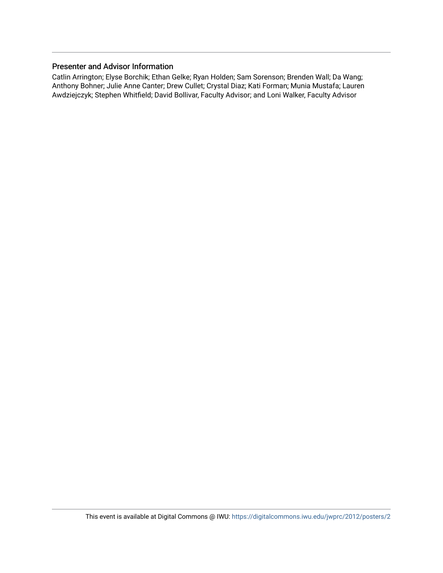## Presenter and Advisor Information

Catlin Arrington; Elyse Borchik; Ethan Gelke; Ryan Holden; Sam Sorenson; Brenden Wall; Da Wang; Anthony Bohner; Julie Anne Canter; Drew Cullet; Crystal Diaz; Kati Forman; Munia Mustafa; Lauren Awdziejczyk; Stephen Whitfield; David Bollivar, Faculty Advisor; and Loni Walker, Faculty Advisor